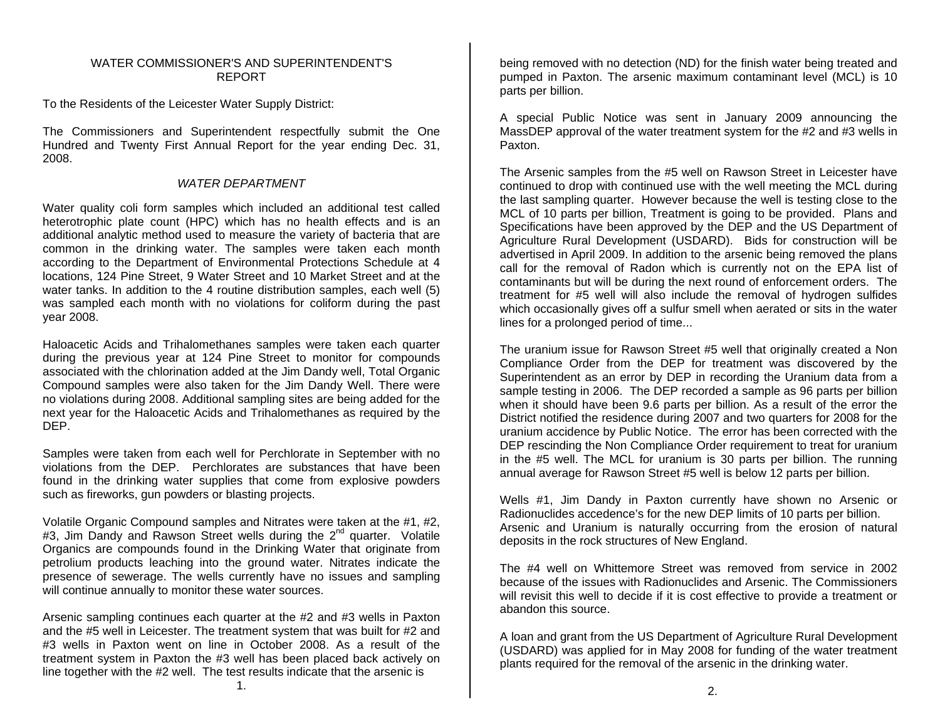## WATER COMMISSIONER'S AND SUPERINTENDENT'SREPORT

To the Residents of the Leicester Water Supply District:

The Commissioners and Superintendent respectfully submit the One Hundred and Twenty First Annual Report for the year ending Dec. 31, 2008.

## *WATER DEPARTMENT*

Water quality coli form samples which included an additional test called heterotrophic plate count (HPC) which has no health effects and is an additional analytic method used to measure the variety of bacteria that are common in the drinking water. The samples were taken each month according to the Department of Environmental Protections Schedule at 4 locations, 124 Pine Street, 9 Water Street and 10 Market Street and at the water tanks. In addition to the 4 routine distribution samples, each well (5) was sampled each month with no violations for coliform during the past year 2008.

Haloacetic Acids and Trihalomethanes samples were taken each quarter during the previous year at 124 Pine Street to monitor for compounds associated with the chlorination added at the Jim Dandy well, Total Organic Compound samples were also taken for the Jim Dandy Well. There were no violations during 2008. Additional sampling sites are being added for the next year for the Haloacetic Acids and Trihalomethanes as required by the DEP.

Samples were taken from each well for Perchlorate in September with no violations from the DEP. Perchlorates are substances that have been found in the drinking water supplies that come from explosive powders such as fireworks, gun powders or blasting projects.

Volatile Organic Compound samples and Nitrates were taken at the #1, #2, #3, Jim Dandy and Rawson Street wells during the 2<sup>nd</sup> quarter. Volatile Organics are compounds found in the Drinking Water that originate from petrolium products leaching into the ground water. Nitrates indicate the presence of sewerage. The wells currently have no issues and sampling will continue annually to monitor these water sources.

Arsenic sampling continues each quarter at the #2 and #3 wells in Paxton and the #5 well in Leicester. The treatment system that was built for #2 and #3 wells in Paxton went on line in October 2008. As a result of the treatment system in Paxton the #3 well has been placed back actively on line together with the #2 well. The test results indicate that the arsenic is

being removed with no detection (ND) for the finish water being treated and pumped in Paxton. The arsenic maximum contaminant level (MCL) is 10 parts per billion.

A special Public Notice was sent in January 2009 announcing the MassDEP approval of the water treatment system for the #2 and #3 wells in Paxton.

The Arsenic samples from the #5 well on Rawson Street in Leicester have continued to drop with continued use with the well meeting the MCL during the last sampling quarter. However because the well is testing close to the MCL of 10 parts per billion, Treatment is going to be provided. Plans and Specifications have been approved by the DEP and the US Department of Agriculture Rural Development (USDARD). Bids for construction will be advertised in April 2009. In addition to the arsenic being removed the plans call for the removal of Radon which is currently not on the EPA list of contaminants but will be during the next round of enforcement orders. The treatment for #5 well will also include the removal of hydrogen sulfides which occasionally gives off a sulfur smell when aerated or sits in the water lines for a prolonged period of time...

The uranium issue for Rawson Street #5 well that originally created a Non Compliance Order from the DEP for treatment was discovered by the Superintendent as an error by DEP in recording the Uranium data from a sample testing in 2006. The DEP recorded a sample as 96 parts per billion when it should have been 9.6 parts per billion. As a result of the error the District notified the residence during 2007 and two quarters for 2008 for the uranium accidence by Public Notice. The error has been corrected with the DEP rescinding the Non Compliance Order requirement to treat for uranium in the #5 well. The MCL for uranium is 30 parts per billion. The running annual average for Rawson Street #5 well is below 12 parts per billion.

Wells #1, Jim Dandy in Paxton currently have shown no Arsenic or Radionuclides accedence's for the new DEP limits of 10 parts per billion. Arsenic and Uranium is naturally occurring from the erosion of natural deposits in the rock structures of New England.

The #4 well on Whittemore Street was removed from service in 2002 because of the issues with Radionuclides and Arsenic. The Commissioners will revisit this well to decide if it is cost effective to provide a treatment or abandon this source.

A loan and grant from the US Department of Agriculture Rural Development (USDARD) was applied for in May 2008 for funding of the water treatment plants required for the removal of the arsenic in the drinking water.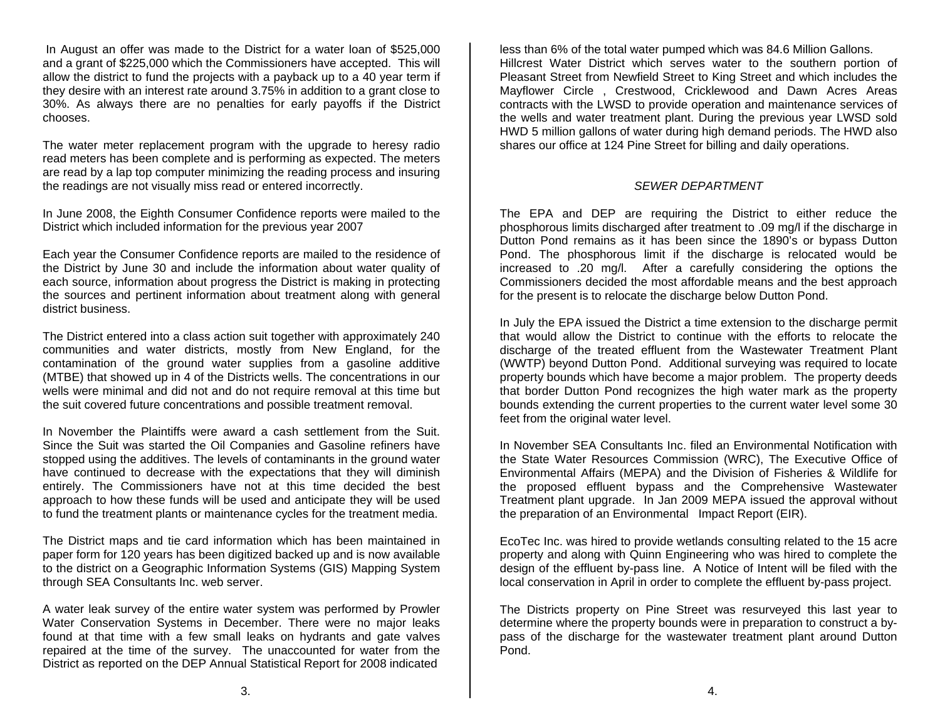In August an offer was made to the District for a water loan of \$525,000 and a grant of \$225,000 which the Commissioners have accepted. This will allow the district to fund the projects with a payback up to a 40 year term if they desire with an interest rate around 3.75% in addition to a grant close to 30%. As always there are no penalties for early payoffs if the District chooses.

The water meter replacement program with the upgrade to heresy radio read meters has been complete and is performing as expected. The meters are read by a lap top computer minimizing the reading process and insuring the readings are not visually miss read or entered incorrectly.

In June 2008, the Eighth Consumer Confidence reports were mailed to the District which included information for the previous year 2007

Each year the Consumer Confidence reports are mailed to the residence of the District by June 30 and include the information about water quality of each source, information about progress the District is making in protecting the sources and pertinent information about treatment along with general district business.

The District entered into a class action suit together with approximately 240 communities and water districts, mostly from New England, for the contamination of the ground water supplies from a gasoline additive (MTBE) that showed up in 4 of the Districts wells. The concentrations in our wells were minimal and did not and do not require removal at this time but the suit covered future concentrations and possible treatment removal.

In November the Plaintiffs were award a cash settlement from the Suit. Since the Suit was started the Oil Companies and Gasoline refiners have stopped using the additives. The levels of contaminants in the ground water have continued to decrease with the expectations that they will diminish entirely. The Commissioners have not at this time decided the best approach to how these funds will be used and anticipate they will be used to fund the treatment plants or maintenance cycles for the treatment media.

The District maps and tie card information which has been maintained in paper form for 120 years has been digitized backed up and is now available to the district on a Geographic Information Systems (GIS) Mapping System through SEA Consultants Inc. web server.

A water leak survey of the entire water system was performed by Prowler Water Conservation Systems in December. There were no major leaks found at that time with a few small leaks on hydrants and gate valves repaired at the time of the survey. The unaccounted for water from the District as reported on the DEP Annual Statistical Report for 2008 indicated

less than 6% of the total water pumped which was 84.6 Million Gallons. Hillcrest Water District which serves water to the southern portion of Pleasant Street from Newfield Street to King Street and which includes the Mayflower Circle , Crestwood, Cricklewood and Dawn Acres Areas contracts with the LWSD to provide operation and maintenance services of the wells and water treatment plant. During the previous year LWSD sold HWD 5 million gallons of water during high demand periods. The HWD also shares our office at 124 Pine Street for billing and daily operations.

## *SEWER DEPARTMENT*

The EPA and DEP are requiring the District to either reduce the phosphorous limits discharged after treatment to .09 mg/l if the discharge in Dutton Pond remains as it has been since the 1890's or bypass Dutton Pond. The phosphorous limit if the discharge is relocated would be increased to .20 mg/l. After a carefully considering the options the Commissioners decided the most affordable means and the best approach for the present is to relocate the discharge below Dutton Pond.

In July the EPA issued the District a time extension to the discharge permit that would allow the District to continue with the efforts to relocate the discharge of the treated effluent from the Wastewater Treatment Plant (WWTP) beyond Dutton Pond. Additional surveying was required to locate property bounds which have become a major problem. The property deeds that border Dutton Pond recognizes the high water mark as the property bounds extending the current properties to the current water level some 30 feet from the original water level.

In November SEA Consultants Inc. filed an Environmental Notification with the State Water Resources Commission (WRC), The Executive Office of Environmental Affairs (MEPA) and the Division of Fisheries & Wildlife for the proposed effluent bypass and the Comprehensive Wastewater Treatment plant upgrade. In Jan 2009 MEPA issued the approval without the preparation of an Environmental Impact Report (EIR).

EcoTec Inc. was hired to provide wetlands consulting related to the 15 acre property and along with Quinn Engineering who was hired to complete the design of the effluent by-pass line. A Notice of Intent will be filed with the local conservation in April in order to complete the effluent by-pass project.

The Districts property on Pine Street was resurveyed this last year to determine where the property bounds were in preparation to construct a bypass of the discharge for the wastewater treatment plant around Dutton Pond.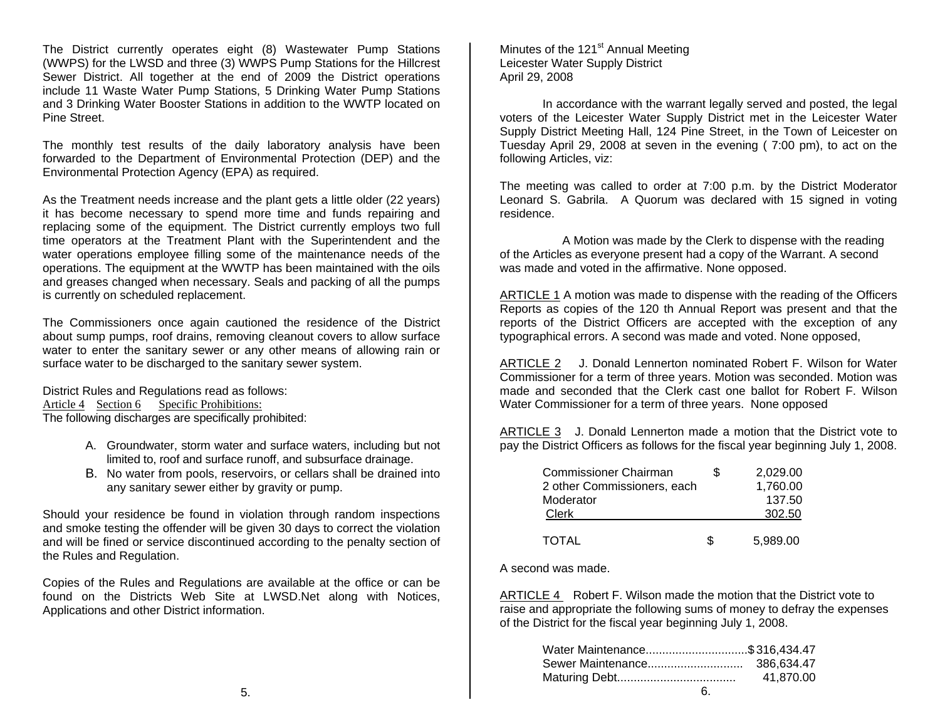The District currently operates eight (8) Wastewater Pump Stations (WWPS) for the LWSD and three (3) WWPS Pump Stations for the Hillcrest Sewer District. All together at the end of 2009 the District operations include 11 Waste Water Pump Stations, 5 Drinking Water Pump Stations and 3 Drinking Water Booster Stations in addition to the WWTP located on Pine Street.

The monthly test results of the daily laboratory analysis have been forwarded to the Department of Environmental Protection (DEP) and the Environmental Protection Agency (EPA) as required.

As the Treatment needs increase and the plant gets a little older (22 years) it has become necessary to spend more time and funds repairing and replacing some of the equipment. The District currently employs two full time operators at the Treatment Plant with the Superintendent and the water operations employee filling some of the maintenance needs of the operations. The equipment at the WWTP has been maintained with the oils and greases changed when necessary. Seals and packing of all the pumps is currently on scheduled replacement.

The Commissioners once again cautioned the residence of the District about sump pumps, roof drains, removing cleanout covers to allow surface water to enter the sanitary sewer or any other means of allowing rain or surface water to be discharged to the sanitary sewer system.

District Rules and Regulations read as follows: Article 4 Section 6 Specific Prohibitions: The following discharges are specifically prohibited:

- A. Groundwater, storm water and surface waters, including but not limited to, roof and surface runoff, and subsurface drainage.
- B. No water from pools, reservoirs, or cellars shall be drained into any sanitary sewer either by gravity or pump.

Should your residence be found in violation through random inspections and smoke testing the offender will be given 30 days to correct the violation and will be fined or service discontinued according to the penalty section of the Rules and Regulation.

Copies of the Rules and Regulations are available at the office or can be found on the Districts Web Site at LWSD.Net along with Notices, Applications and other District information.

Minutes of the  $121<sup>st</sup>$  Annual Meeting Leicester Water Supply District April 29, 2008

 In accordance with the warrant legally served and posted, the legal voters of the Leicester Water Supply District met in the Leicester Water Supply District Meeting Hall, 124 Pine Street, in the Town of Leicester on Tuesday April 29, 2008 at seven in the evening ( 7:00 pm), to act on the following Articles, viz:

The meeting was called to order at 7:00 p.m. by the District Moderator Leonard S. Gabrila. A Quorum was declared with 15 signed in voting residence.

 A Motion was made by the Clerk to dispense with the reading of the Articles as everyone present had a copy of the Warrant. A second was made and voted in the affirmative. None opposed.

ARTICLE 1 A motion was made to dispense with the reading of the Officers Reports as copies of the 120 th Annual Report was present and that the reports of the District Officers are accepted with the exception of any typographical errors. A second was made and voted. None opposed,

ARTICLE 2 J. Donald Lennerton nominated Robert F. Wilson for Water Commissioner for a term of three years. Motion was seconded. Motion was made and seconded that the Clerk cast one ballot for Robert F. Wilson Water Commissioner for a term of three years. None opposed

ARTICLE 3 J. Donald Lennerton made a motion that the District vote to pay the District Officers as follows for the fiscal year beginning July 1, 2008.

| Commissioner Chairman       | 2.029.00 |
|-----------------------------|----------|
| 2 other Commissioners, each | 1,760.00 |
| Moderator                   | 137.50   |
| Clerk                       | 302.50   |
|                             |          |
| TOTAL                       | 5,989.00 |

A second was made.

ARTICLE 4 Robert F. Wilson made the motion that the District vote to raise and appropriate the following sums of money to defray the expenses of the District for the fiscal year beginning July 1, 2008.

| Water Maintenance\$316,434.47 |           |
|-------------------------------|-----------|
|                               |           |
|                               | 41.870.00 |
|                               |           |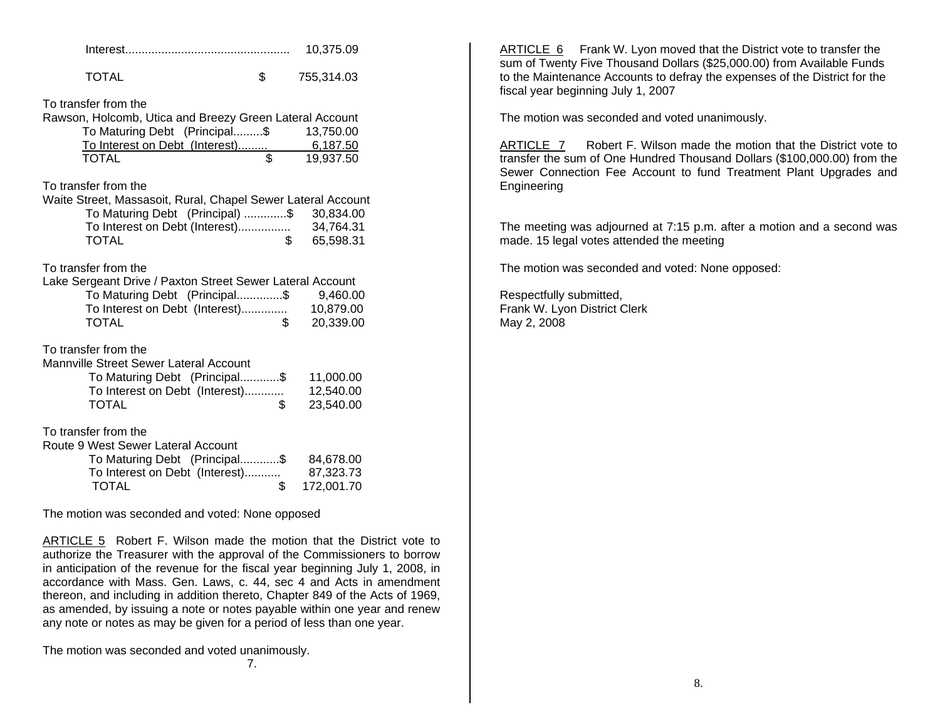|                                                                                                                               |                 | 10,375.09             |  |  |  |
|-------------------------------------------------------------------------------------------------------------------------------|-----------------|-----------------------|--|--|--|
| <b>TOTAL</b>                                                                                                                  | \$              | 755,314.03            |  |  |  |
| To transfer from the<br>Rawson, Holcomb, Utica and Breezy Green Lateral Account<br>To Maturing Debt (Principal\$<br>13,750.00 |                 |                       |  |  |  |
| To Interest on Debt (Interest)<br><b>TOTAL</b>                                                                                | $\overline{\$}$ | 6,187.50<br>19,937.50 |  |  |  |
| To transfer from the<br>Waite Street, Massasoit, Rural, Chapel Sewer Lateral Account                                          |                 |                       |  |  |  |
| To Maturing Debt (Principal) \$                                                                                               |                 | 30,834.00             |  |  |  |
| To Interest on Debt (Interest)                                                                                                |                 | 34,764.31             |  |  |  |
| <b>TOTAL</b>                                                                                                                  | \$              | 65,598.31             |  |  |  |
| To transfer from the<br>Lake Sergeant Drive / Paxton Street Sewer Lateral Account                                             |                 |                       |  |  |  |
| To Maturing Debt (Principal\$                                                                                                 |                 | 9,460.00              |  |  |  |
| To Interest on Debt (Interest)                                                                                                | \$              | 10,879.00             |  |  |  |
| <b>TOTAL</b>                                                                                                                  |                 | 20,339.00             |  |  |  |
| To transfer from the<br>Mannville Street Sewer Lateral Account                                                                |                 |                       |  |  |  |
| To Maturing Debt (Principal\$                                                                                                 |                 | 11,000.00             |  |  |  |
| To Interest on Debt (Interest)                                                                                                |                 | 12,540.00             |  |  |  |
| <b>TOTAL</b>                                                                                                                  | \$              | 23,540.00             |  |  |  |
| To transfer from the<br>Route 9 West Sewer Lateral Account                                                                    |                 |                       |  |  |  |
| To Maturing Debt (Principal\$                                                                                                 |                 | 84,678.00             |  |  |  |
| To Interest on Debt (Interest)                                                                                                |                 | 87,323.73             |  |  |  |
| <b>TOTAL</b>                                                                                                                  | \$              | 172,001.70            |  |  |  |

The motion was seconded and voted: None opposed

ARTICLE 5 Robert F. Wilson made the motion that the District vote to authorize the Treasurer with the approval of the Commissioners to borrow in anticipation of the revenue for the fiscal year beginning July 1, 2008, in accordance with Mass. Gen. Laws, c. 44, sec 4 and Acts in amendment thereon, and including in addition thereto, Chapter 849 of the Acts of 1969, as amended, by issuing a note or notes payable within one year and renew any note or notes as may be given for a period of less than one year.

The motion was seconded and voted unanimously.

ли последни производство в село в 17.<br>Последни последни последни последни последни последни последни последни последни последни последни последни по<br>В 17. В 17. В 17. В 17. В 17. В 17. В 17. В 17. В 17. В 17. В 17. В 17.

ARTICLE 6 Frank W. Lyon moved that the District vote to transfer the sum of Twenty Five Thousand Dollars (\$25,000.00) from Available Funds to the Maintenance Accounts to defray the expenses of the District for the fiscal year beginning July 1, 2007

The motion was seconded and voted unanimously.

ARTICLE 7 Robert F. Wilson made the motion that the District vote to transfer the sum of One Hundred Thousand Dollars (\$100,000.00) from the Sewer Connection Fee Account to fund Treatment Plant Upgrades and Engineering

The meeting was adjourned at 7:15 p.m. after a motion and a second was made. 15 legal votes attended the meeting

The motion was seconded and voted: None opposed:

Respectfully submitted, Frank W. Lyon District Clerk May 2, 2008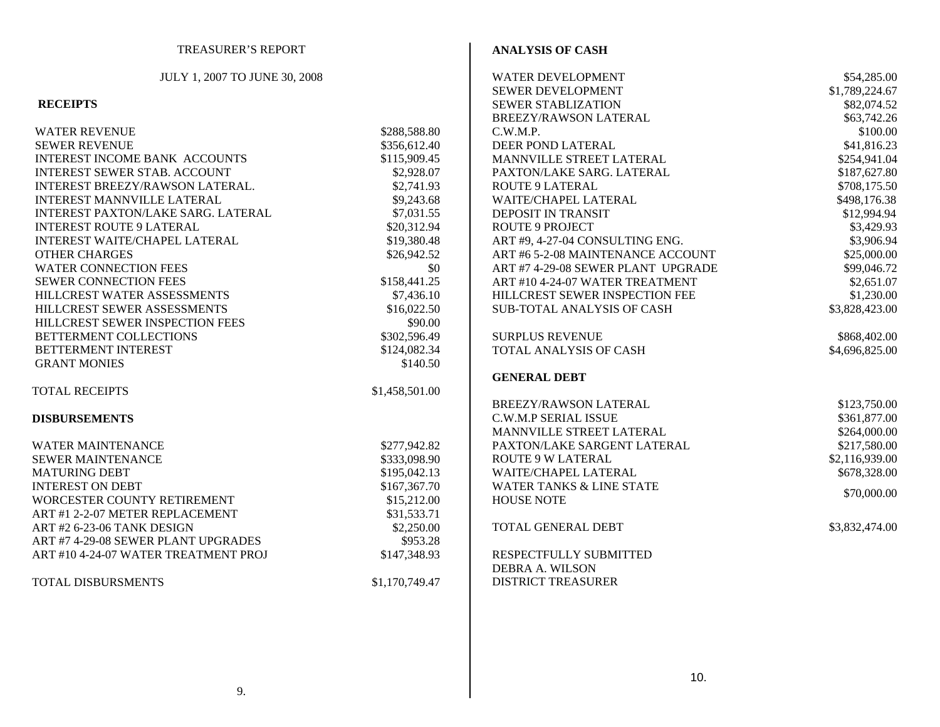| TREASURER'S REPORT                   |                | <b>ANALYSIS OF CASH</b>             |                |
|--------------------------------------|----------------|-------------------------------------|----------------|
| JULY 1, 2007 TO JUNE 30, 2008        |                | <b>WATER DEVELOPMENT</b>            | \$54,285.00    |
|                                      |                | SEWER DEVELOPMENT                   | \$1,789,224.67 |
| <b>RECEIPTS</b>                      |                | SEWER STABLIZATION                  | \$82,074.52    |
|                                      |                | BREEZY/RAWSON LATERAL               | \$63,742.26    |
| <b>WATER REVENUE</b>                 | \$288,588.80   | C.W.M.P.                            | \$100.00       |
| <b>SEWER REVENUE</b>                 | \$356,612.40   | DEER POND LATERAL                   | \$41,816.23    |
| INTEREST INCOME BANK ACCOUNTS        | \$115,909.45   | MANNVILLE STREET LATERAL            | \$254,941.04   |
| <b>INTEREST SEWER STAB. ACCOUNT</b>  | \$2,928.07     | PAXTON/LAKE SARG. LATERAL           | \$187,627.80   |
| INTEREST BREEZY/RAWSON LATERAL.      | \$2,741.93     | <b>ROUTE 9 LATERAL</b>              | \$708,175.50   |
| INTEREST MANNVILLE LATERAL           | \$9,243.68     | WAITE/CHAPEL LATERAL                | \$498,176.38   |
| INTEREST PAXTON/LAKE SARG. LATERAL   | \$7,031.55     | DEPOSIT IN TRANSIT                  | \$12,994.94    |
| <b>INTEREST ROUTE 9 LATERAL</b>      | \$20,312.94    | <b>ROUTE 9 PROJECT</b>              | \$3,429.93     |
| INTEREST WAITE/CHAPEL LATERAL        | \$19,380.48    | ART #9, 4-27-04 CONSULTING ENG.     | \$3,906.94     |
| <b>OTHER CHARGES</b>                 | \$26,942.52    | ART #6 5-2-08 MAINTENANCE ACCOUNT   | \$25,000.00    |
| <b>WATER CONNECTION FEES</b>         | \$0            | ART #7 4-29-08 SEWER PLANT UPGRADE  | \$99,046.72    |
| SEWER CONNECTION FEES                |                | ART #10 4-24-07 WATER TREATMENT     | \$2,651.07     |
|                                      | \$158,441.25   |                                     |                |
| HILLCREST WATER ASSESSMENTS          | \$7,436.10     | HILLCREST SEWER INSPECTION FEE      | \$1,230.00     |
| HILLCREST SEWER ASSESSMENTS          | \$16,022.50    | <b>SUB-TOTAL ANALYSIS OF CASH</b>   | \$3,828,423.00 |
| HILLCREST SEWER INSPECTION FEES      | \$90.00        |                                     |                |
| BETTERMENT COLLECTIONS               | \$302,596.49   | <b>SURPLUS REVENUE</b>              | \$868,402.00   |
| BETTERMENT INTEREST                  | \$124,082.34   | TOTAL ANALYSIS OF CASH              | \$4,696,825.00 |
| <b>GRANT MONIES</b>                  | \$140.50       |                                     |                |
|                                      |                | <b>GENERAL DEBT</b>                 |                |
| <b>TOTAL RECEIPTS</b>                | \$1,458,501.00 |                                     |                |
|                                      |                | BREEZY/RAWSON LATERAL               | \$123,750.00   |
| <b>DISBURSEMENTS</b>                 |                | C.W.M.P SERIAL ISSUE                | \$361,877.00   |
|                                      |                | MANNVILLE STREET LATERAL            | \$264,000.00   |
| <b>WATER MAINTENANCE</b>             | \$277,942.82   | PAXTON/LAKE SARGENT LATERAL         | \$217,580.00   |
| <b>SEWER MAINTENANCE</b>             | \$333,098.90   | <b>ROUTE 9 W LATERAL</b>            | \$2,116,939.00 |
| <b>MATURING DEBT</b>                 | \$195,042.13   | WAITE/CHAPEL LATERAL                | \$678,328.00   |
| <b>INTEREST ON DEBT</b>              | \$167,367.70   | <b>WATER TANKS &amp; LINE STATE</b> | \$70,000.00    |
| WORCESTER COUNTY RETIREMENT          | \$15,212.00    | <b>HOUSE NOTE</b>                   |                |
| ART #1 2-2-07 METER REPLACEMENT      | \$31,533.71    |                                     |                |
| ART #2 6-23-06 TANK DESIGN           | \$2,250.00     | TOTAL GENERAL DEBT                  | \$3,832,474.00 |
| ART #7 4-29-08 SEWER PLANT UPGRADES  | \$953.28       |                                     |                |
| ART #10 4-24-07 WATER TREATMENT PROJ | \$147,348.93   | RESPECTFULLY SUBMITTED              |                |
|                                      |                | <b>DEBRA A. WILSON</b>              |                |
| TOTAL DISBURSMENTS                   | \$1,170,749.47 | <b>DISTRICT TREASURER</b>           |                |
|                                      |                |                                     |                |
|                                      |                |                                     |                |
|                                      |                |                                     |                |
|                                      |                |                                     |                |
|                                      |                | 10.                                 |                |
| 9.                                   |                |                                     |                |
|                                      |                |                                     |                |